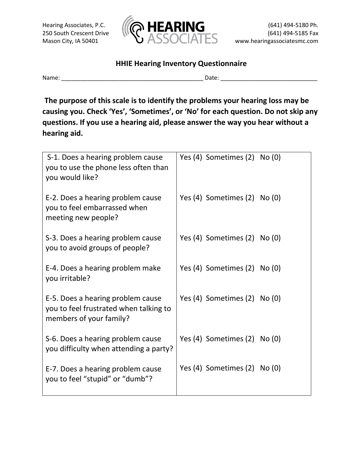

## **HHIE Hearing Inventory Questionnaire**

Name: \_\_\_\_\_\_\_\_\_\_\_\_\_\_\_\_\_\_\_\_\_\_\_\_\_\_\_\_\_\_\_\_\_\_\_\_\_\_\_\_\_\_\_\_ Date: \_\_\_\_\_\_\_\_\_\_\_\_\_\_\_\_\_\_\_\_\_\_\_\_\_\_\_\_\_\_

**The purpose of this scale is to identify the problems your hearing loss may be causing you. Check 'Yes', 'Sometimes', or 'No' for each question. Do not skip any questions. If you use a hearing aid, please answer the way you hear without a hearing aid.**

| S-1. Does a hearing problem cause<br>you to use the phone less often than<br>you would like?           | Yes (4) Sometimes (2) No (0) |
|--------------------------------------------------------------------------------------------------------|------------------------------|
| E-2. Does a hearing problem cause<br>you to feel embarrassed when<br>meeting new people?               | Yes (4) Sometimes (2) No (0) |
| S-3. Does a hearing problem cause<br>you to avoid groups of people?                                    | Yes (4) Sometimes (2) No (0) |
| E-4. Does a hearing problem make<br>you irritable?                                                     | Yes (4) Sometimes (2) No (0) |
| E-5. Does a hearing problem cause<br>you to feel frustrated when talking to<br>members of your family? | Yes (4) Sometimes (2) No (0) |
| S-6. Does a hearing problem cause<br>you difficulty when attending a party?                            | Yes (4) Sometimes (2) No (0) |
| E-7. Does a hearing problem cause<br>you to feel "stupid" or "dumb"?                                   | Yes (4) Sometimes (2) No (0) |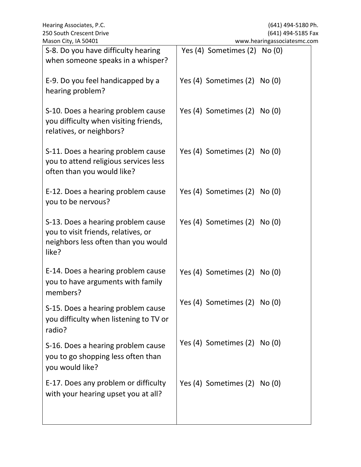| iviason City, ia 50401                                                                                                    | www.nearingassociatesmc.com  |
|---------------------------------------------------------------------------------------------------------------------------|------------------------------|
| S-8. Do you have difficulty hearing<br>when someone speaks in a whisper?                                                  | Yes (4) Sometimes (2) No (0) |
| E-9. Do you feel handicapped by a<br>hearing problem?                                                                     | Yes (4) Sometimes (2) No (0) |
| S-10. Does a hearing problem cause<br>you difficulty when visiting friends,<br>relatives, or neighbors?                   | Yes (4) Sometimes (2) No (0) |
| S-11. Does a hearing problem cause<br>you to attend religious services less<br>often than you would like?                 | Yes (4) Sometimes (2) No (0) |
| E-12. Does a hearing problem cause<br>you to be nervous?                                                                  | Yes (4) Sometimes (2) No (0) |
| S-13. Does a hearing problem cause<br>you to visit friends, relatives, or<br>neighbors less often than you would<br>like? | Yes (4) Sometimes (2) No (0) |
| E-14. Does a hearing problem cause<br>you to have arguments with family<br>members?                                       | Yes (4) Sometimes (2) No (0) |
| S-15. Does a hearing problem cause<br>you difficulty when listening to TV or<br>radio?                                    | Yes (4) Sometimes (2) No (0) |
| S-16. Does a hearing problem cause<br>you to go shopping less often than<br>you would like?                               | Yes (4) Sometimes (2) No (0) |
| E-17. Does any problem or difficulty<br>with your hearing upset you at all?                                               | Yes (4) Sometimes (2) No (0) |
|                                                                                                                           |                              |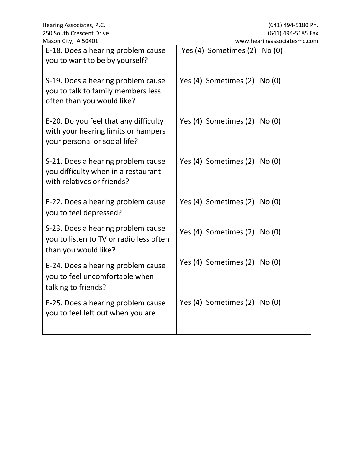| E-18. Does a hearing problem cause<br>Yes (4) Sometimes (2)<br>No(0)<br>you to want to be by yourself?<br>Yes (4) Sometimes (2) No (0)<br>S-19. Does a hearing problem cause<br>you to talk to family members less<br>often than you would like?<br>Yes (4) Sometimes (2) No (0)<br>E-20. Do you feel that any difficulty<br>with your hearing limits or hampers<br>your personal or social life?<br>Yes (4) Sometimes (2) No (0)<br>S-21. Does a hearing problem cause<br>you difficulty when in a restaurant<br>with relatives or friends?<br>Yes (4) Sometimes (2) No (0)<br>E-22. Does a hearing problem cause<br>you to feel depressed?<br>S-23. Does a hearing problem cause<br>Yes (4) Sometimes (2) No (0)<br>you to listen to TV or radio less often<br>than you would like?<br>Yes (4) Sometimes (2) No (0)<br>E-24. Does a hearing problem cause<br>you to feel uncomfortable when<br>talking to friends?<br>Yes (4) Sometimes (2) No (0)<br>E-25. Does a hearing problem cause<br>you to feel left out when you are | Mason City, IA 50401 | www.hearingassociatesmc.com |
|---------------------------------------------------------------------------------------------------------------------------------------------------------------------------------------------------------------------------------------------------------------------------------------------------------------------------------------------------------------------------------------------------------------------------------------------------------------------------------------------------------------------------------------------------------------------------------------------------------------------------------------------------------------------------------------------------------------------------------------------------------------------------------------------------------------------------------------------------------------------------------------------------------------------------------------------------------------------------------------------------------------------------------|----------------------|-----------------------------|
|                                                                                                                                                                                                                                                                                                                                                                                                                                                                                                                                                                                                                                                                                                                                                                                                                                                                                                                                                                                                                                 |                      |                             |
|                                                                                                                                                                                                                                                                                                                                                                                                                                                                                                                                                                                                                                                                                                                                                                                                                                                                                                                                                                                                                                 |                      |                             |
|                                                                                                                                                                                                                                                                                                                                                                                                                                                                                                                                                                                                                                                                                                                                                                                                                                                                                                                                                                                                                                 |                      |                             |
|                                                                                                                                                                                                                                                                                                                                                                                                                                                                                                                                                                                                                                                                                                                                                                                                                                                                                                                                                                                                                                 |                      |                             |
|                                                                                                                                                                                                                                                                                                                                                                                                                                                                                                                                                                                                                                                                                                                                                                                                                                                                                                                                                                                                                                 |                      |                             |
|                                                                                                                                                                                                                                                                                                                                                                                                                                                                                                                                                                                                                                                                                                                                                                                                                                                                                                                                                                                                                                 |                      |                             |
|                                                                                                                                                                                                                                                                                                                                                                                                                                                                                                                                                                                                                                                                                                                                                                                                                                                                                                                                                                                                                                 |                      |                             |
|                                                                                                                                                                                                                                                                                                                                                                                                                                                                                                                                                                                                                                                                                                                                                                                                                                                                                                                                                                                                                                 |                      |                             |